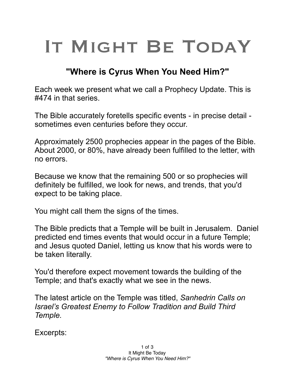## IT MIGHT BE TODAY

## **"Where is Cyrus When You Need Him?"**

Each week we present what we call a Prophecy Update. This is #474 in that series.

The Bible accurately foretells specific events - in precise detail sometimes even centuries before they occur.

Approximately 2500 prophecies appear in the pages of the Bible. About 2000, or 80%, have already been fulfilled to the letter, with no errors.

Because we know that the remaining 500 or so prophecies will definitely be fulfilled, we look for news, and trends, that you'd expect to be taking place.

You might call them the signs of the times.

The Bible predicts that a Temple will be built in Jerusalem. Daniel predicted end times events that would occur in a future Temple; and Jesus quoted Daniel, letting us know that his words were to be taken literally.

You'd therefore expect movement towards the building of the Temple; and that's exactly what we see in the news.

The latest article on the Temple was titled, *Sanhedrin Calls on Israel's Greatest Enemy to Follow Tradition and Build Third Temple.*

Excerpts: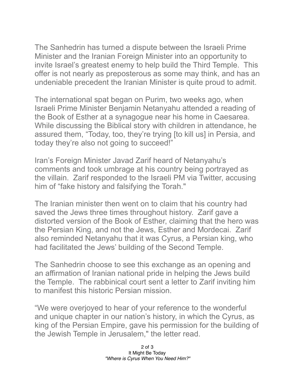The Sanhedrin has turned a dispute between the Israeli Prime Minister and the Iranian Foreign Minister into an opportunity to invite Israel's greatest enemy to help build the Third Temple. This offer is not nearly as preposterous as some may think, and has an undeniable precedent the Iranian Minister is quite proud to admit.

The international spat began on Purim, two weeks ago, when Israeli Prime Minister Benjamin Netanyahu attended a reading of the Book of Esther at a synagogue near his home in Caesarea. While discussing the Biblical story with children in attendance, he assured them, "Today, too, they're trying [to kill us] in Persia, and today they're also not going to succeed!"

Iran's Foreign Minister Javad Zarif heard of Netanyahu's comments and took umbrage at his country being portrayed as the villain. Zarif responded to the Israeli PM via Twitter, accusing him of "fake history and falsifying the Torah."

The Iranian minister then went on to claim that his country had saved the Jews three times throughout history. Zarif gave a distorted version of the Book of Esther, claiming that the hero was the Persian King, and not the Jews, Esther and Mordecai. Zarif also reminded Netanyahu that it was Cyrus, a Persian king, who had facilitated the Jews' building of the Second Temple.

The Sanhedrin choose to see this exchange as an opening and an affirmation of Iranian national pride in helping the Jews build the Temple. The rabbinical court sent a letter to Zarif inviting him to manifest this historic Persian mission.

"We were overjoyed to hear of your reference to the wonderful and unique chapter in our nation's history, in which the Cyrus, as king of the Persian Empire, gave his permission for the building of the Jewish Temple in Jerusalem," the letter read.